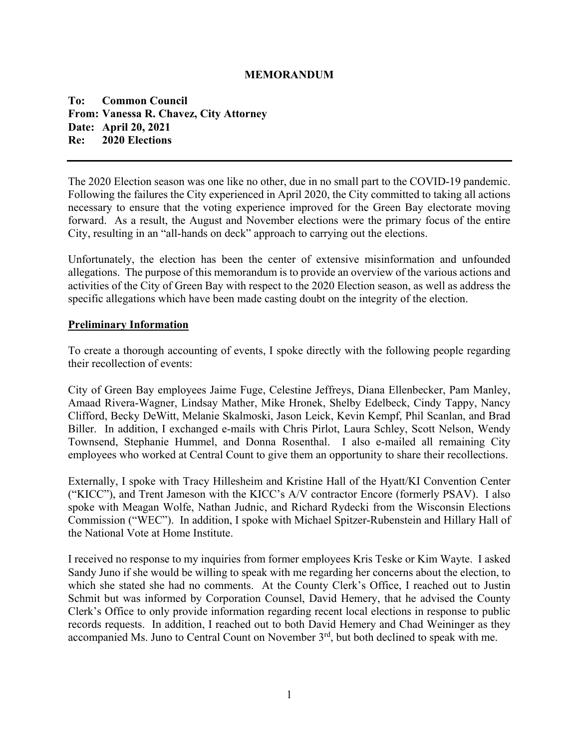#### **MEMORANDUM**

**To: Common Council From: Vanessa R. Chavez, City Attorney Date: April 20, 2021 Re: 2020 Elections** 

The 2020 Election season was one like no other, due in no small part to the COVID-19 pandemic. Following the failures the City experienced in April 2020, the City committed to taking all actions necessary to ensure that the voting experience improved for the Green Bay electorate moving forward. As a result, the August and November elections were the primary focus of the entire City, resulting in an "all-hands on deck" approach to carrying out the elections.

Unfortunately, the election has been the center of extensive misinformation and unfounded allegations. The purpose of this memorandum is to provide an overview of the various actions and activities of the City of Green Bay with respect to the 2020 Election season, as well as address the specific allegations which have been made casting doubt on the integrity of the election.

#### **Preliminary Information**

To create a thorough accounting of events, I spoke directly with the following people regarding their recollection of events:

City of Green Bay employees Jaime Fuge, Celestine Jeffreys, Diana Ellenbecker, Pam Manley, Amaad Rivera-Wagner, Lindsay Mather, Mike Hronek, Shelby Edelbeck, Cindy Tappy, Nancy Clifford, Becky DeWitt, Melanie Skalmoski, Jason Leick, Kevin Kempf, Phil Scanlan, and Brad Biller. In addition, I exchanged e-mails with Chris Pirlot, Laura Schley, Scott Nelson, Wendy Townsend, Stephanie Hummel, and Donna Rosenthal. I also e-mailed all remaining City employees who worked at Central Count to give them an opportunity to share their recollections.

Externally, I spoke with Tracy Hillesheim and Kristine Hall of the Hyatt/KI Convention Center ("KICC"), and Trent Jameson with the KICC's A/V contractor Encore (formerly PSAV). I also spoke with Meagan Wolfe, Nathan Judnic, and Richard Rydecki from the Wisconsin Elections Commission ("WEC"). In addition, I spoke with Michael Spitzer-Rubenstein and Hillary Hall of the National Vote at Home Institute.

I received no response to my inquiries from former employees Kris Teske or Kim Wayte. I asked Sandy Juno if she would be willing to speak with me regarding her concerns about the election, to which she stated she had no comments. At the County Clerk's Office, I reached out to Justin Schmit but was informed by Corporation Counsel, David Hemery, that he advised the County Clerk's Office to only provide information regarding recent local elections in response to public records requests. In addition, I reached out to both David Hemery and Chad Weininger as they accompanied Ms. Juno to Central Count on November 3<sup>rd</sup>, but both declined to speak with me.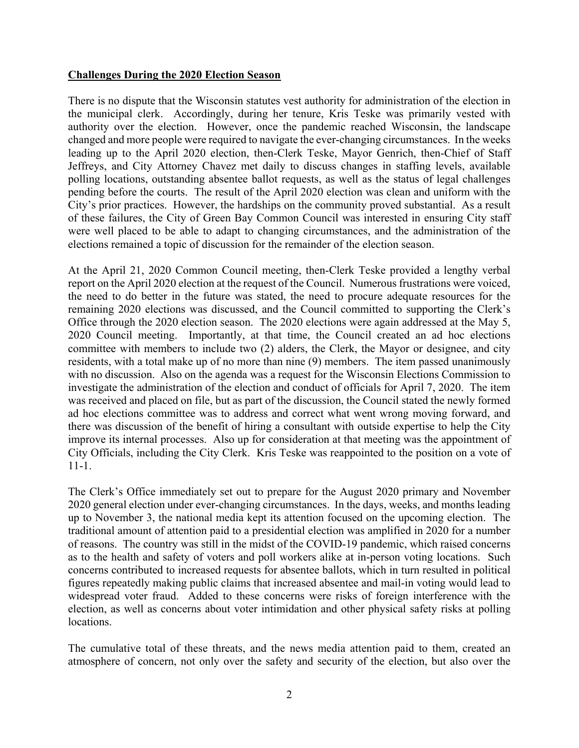### **Challenges During the 2020 Election Season**

There is no dispute that the Wisconsin statutes vest authority for administration of the election in the municipal clerk. Accordingly, during her tenure, Kris Teske was primarily vested with authority over the election. However, once the pandemic reached Wisconsin, the landscape changed and more people were required to navigate the ever-changing circumstances. In the weeks leading up to the April 2020 election, then-Clerk Teske, Mayor Genrich, then-Chief of Staff Jeffreys, and City Attorney Chavez met daily to discuss changes in staffing levels, available polling locations, outstanding absentee ballot requests, as well as the status of legal challenges pending before the courts. The result of the April 2020 election was clean and uniform with the City's prior practices. However, the hardships on the community proved substantial. As a result of these failures, the City of Green Bay Common Council was interested in ensuring City staff were well placed to be able to adapt to changing circumstances, and the administration of the elections remained a topic of discussion for the remainder of the election season.

At the April 21, 2020 Common Council meeting, then-Clerk Teske provided a lengthy verbal report on the April 2020 election at the request of the Council. Numerous frustrations were voiced, the need to do better in the future was stated, the need to procure adequate resources for the remaining 2020 elections was discussed, and the Council committed to supporting the Clerk's Office through the 2020 election season. The 2020 elections were again addressed at the May 5, 2020 Council meeting. Importantly, at that time, the Council created an ad hoc elections committee with members to include two (2) alders, the Clerk, the Mayor or designee, and city residents, with a total make up of no more than nine (9) members. The item passed unanimously with no discussion. Also on the agenda was a request for the Wisconsin Elections Commission to investigate the administration of the election and conduct of officials for April 7, 2020. The item was received and placed on file, but as part of the discussion, the Council stated the newly formed ad hoc elections committee was to address and correct what went wrong moving forward, and there was discussion of the benefit of hiring a consultant with outside expertise to help the City improve its internal processes. Also up for consideration at that meeting was the appointment of City Officials, including the City Clerk. Kris Teske was reappointed to the position on a vote of 11-1.

The Clerk's Office immediately set out to prepare for the August 2020 primary and November 2020 general election under ever-changing circumstances. In the days, weeks, and months leading up to November 3, the national media kept its attention focused on the upcoming election. The traditional amount of attention paid to a presidential election was amplified in 2020 for a number of reasons. The country was still in the midst of the COVID-19 pandemic, which raised concerns as to the health and safety of voters and poll workers alike at in-person voting locations. Such concerns contributed to increased requests for absentee ballots, which in turn resulted in political figures repeatedly making public claims that increased absentee and mail-in voting would lead to widespread voter fraud. Added to these concerns were risks of foreign interference with the election, as well as concerns about voter intimidation and other physical safety risks at polling locations.

The cumulative total of these threats, and the news media attention paid to them, created an atmosphere of concern, not only over the safety and security of the election, but also over the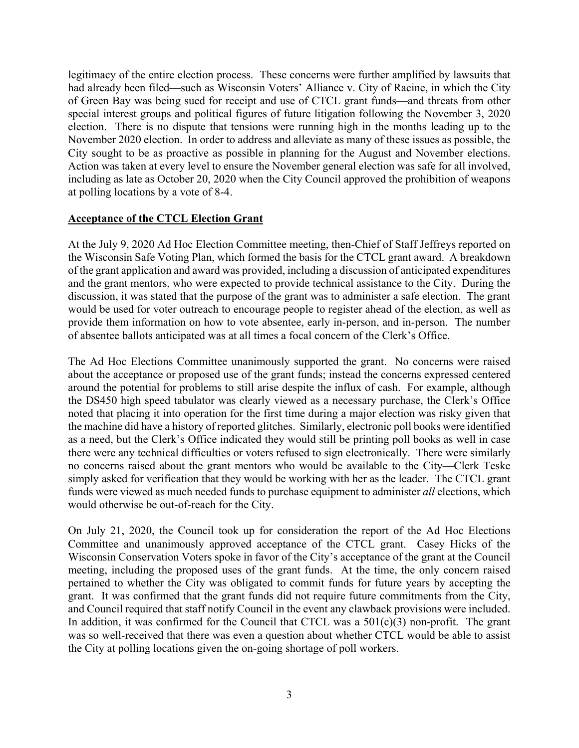legitimacy of the entire election process. These concerns were further amplified by lawsuits that had already been filed—such as Wisconsin Voters' Alliance v. City of Racine, in which the City of Green Bay was being sued for receipt and use of CTCL grant funds—and threats from other special interest groups and political figures of future litigation following the November 3, 2020 election. There is no dispute that tensions were running high in the months leading up to the November 2020 election. In order to address and alleviate as many of these issues as possible, the City sought to be as proactive as possible in planning for the August and November elections. Action was taken at every level to ensure the November general election was safe for all involved, including as late as October 20, 2020 when the City Council approved the prohibition of weapons at polling locations by a vote of 8-4.

### **Acceptance of the CTCL Election Grant**

At the July 9, 2020 Ad Hoc Election Committee meeting, then-Chief of Staff Jeffreys reported on the Wisconsin Safe Voting Plan, which formed the basis for the CTCL grant award. A breakdown of the grant application and award was provided, including a discussion of anticipated expenditures and the grant mentors, who were expected to provide technical assistance to the City. During the discussion, it was stated that the purpose of the grant was to administer a safe election. The grant would be used for voter outreach to encourage people to register ahead of the election, as well as provide them information on how to vote absentee, early in-person, and in-person. The number of absentee ballots anticipated was at all times a focal concern of the Clerk's Office.

The Ad Hoc Elections Committee unanimously supported the grant. No concerns were raised about the acceptance or proposed use of the grant funds; instead the concerns expressed centered around the potential for problems to still arise despite the influx of cash. For example, although the DS450 high speed tabulator was clearly viewed as a necessary purchase, the Clerk's Office noted that placing it into operation for the first time during a major election was risky given that the machine did have a history of reported glitches. Similarly, electronic poll books were identified as a need, but the Clerk's Office indicated they would still be printing poll books as well in case there were any technical difficulties or voters refused to sign electronically. There were similarly no concerns raised about the grant mentors who would be available to the City—Clerk Teske simply asked for verification that they would be working with her as the leader. The CTCL grant funds were viewed as much needed funds to purchase equipment to administer *all* elections, which would otherwise be out-of-reach for the City.

On July 21, 2020, the Council took up for consideration the report of the Ad Hoc Elections Committee and unanimously approved acceptance of the CTCL grant. Casey Hicks of the Wisconsin Conservation Voters spoke in favor of the City's acceptance of the grant at the Council meeting, including the proposed uses of the grant funds. At the time, the only concern raised pertained to whether the City was obligated to commit funds for future years by accepting the grant. It was confirmed that the grant funds did not require future commitments from the City, and Council required that staff notify Council in the event any clawback provisions were included. In addition, it was confirmed for the Council that CTCL was a  $501(c)(3)$  non-profit. The grant was so well-received that there was even a question about whether CTCL would be able to assist the City at polling locations given the on-going shortage of poll workers.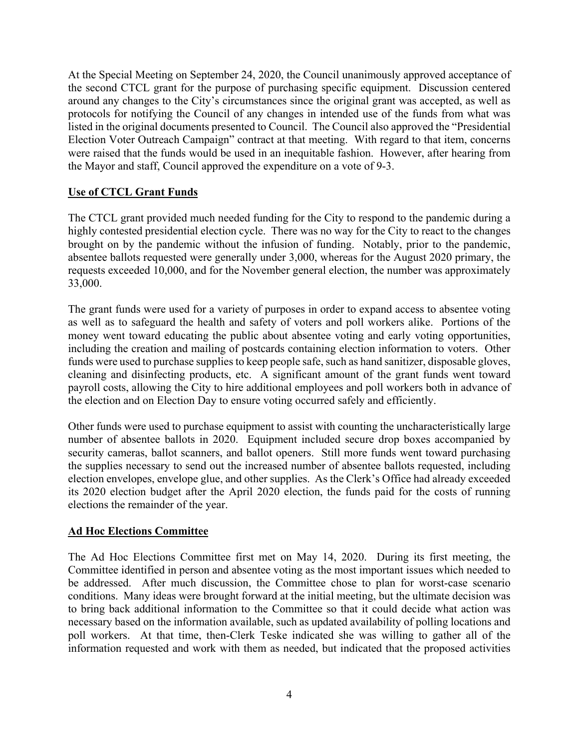At the Special Meeting on September 24, 2020, the Council unanimously approved acceptance of the second CTCL grant for the purpose of purchasing specific equipment. Discussion centered around any changes to the City's circumstances since the original grant was accepted, as well as protocols for notifying the Council of any changes in intended use of the funds from what was listed in the original documents presented to Council. The Council also approved the "Presidential Election Voter Outreach Campaign" contract at that meeting. With regard to that item, concerns were raised that the funds would be used in an inequitable fashion. However, after hearing from the Mayor and staff, Council approved the expenditure on a vote of 9-3.

# **Use of CTCL Grant Funds**

The CTCL grant provided much needed funding for the City to respond to the pandemic during a highly contested presidential election cycle. There was no way for the City to react to the changes brought on by the pandemic without the infusion of funding. Notably, prior to the pandemic, absentee ballots requested were generally under 3,000, whereas for the August 2020 primary, the requests exceeded 10,000, and for the November general election, the number was approximately 33,000.

The grant funds were used for a variety of purposes in order to expand access to absentee voting as well as to safeguard the health and safety of voters and poll workers alike. Portions of the money went toward educating the public about absentee voting and early voting opportunities, including the creation and mailing of postcards containing election information to voters. Other funds were used to purchase supplies to keep people safe, such as hand sanitizer, disposable gloves, cleaning and disinfecting products, etc. A significant amount of the grant funds went toward payroll costs, allowing the City to hire additional employees and poll workers both in advance of the election and on Election Day to ensure voting occurred safely and efficiently.

Other funds were used to purchase equipment to assist with counting the uncharacteristically large number of absentee ballots in 2020. Equipment included secure drop boxes accompanied by security cameras, ballot scanners, and ballot openers. Still more funds went toward purchasing the supplies necessary to send out the increased number of absentee ballots requested, including election envelopes, envelope glue, and other supplies. As the Clerk's Office had already exceeded its 2020 election budget after the April 2020 election, the funds paid for the costs of running elections the remainder of the year.

### **Ad Hoc Elections Committee**

The Ad Hoc Elections Committee first met on May 14, 2020. During its first meeting, the Committee identified in person and absentee voting as the most important issues which needed to be addressed. After much discussion, the Committee chose to plan for worst-case scenario conditions. Many ideas were brought forward at the initial meeting, but the ultimate decision was to bring back additional information to the Committee so that it could decide what action was necessary based on the information available, such as updated availability of polling locations and poll workers. At that time, then-Clerk Teske indicated she was willing to gather all of the information requested and work with them as needed, but indicated that the proposed activities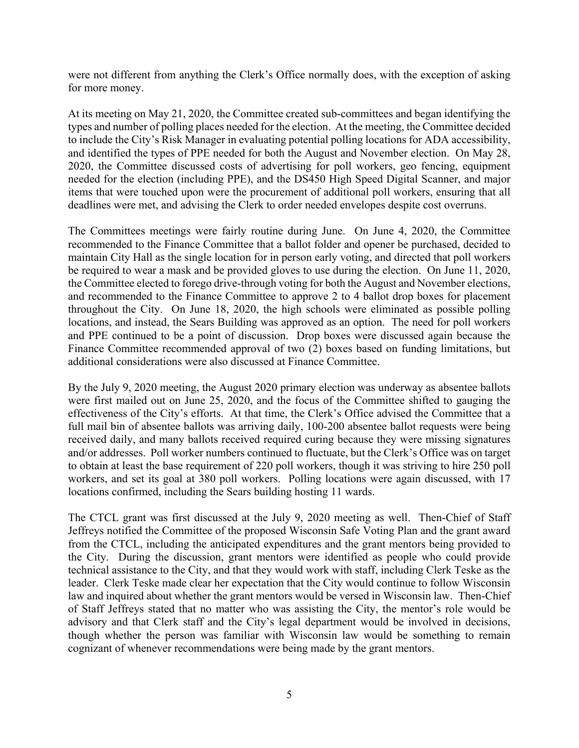were not different from anything the Clerk's Office normally does, with the exception of asking for more money.

At its meeting on May 21, 2020, the Committee created sub-committees and began identifying the types and number of polling places needed for the election. At the meeting, the Committee decided to include the City's Risk Manager in evaluating potential polling locations for ADA accessibility, and identified the types of PPE needed for both the August and November election. On May 28, 2020, the Committee discussed costs of advertising for poll workers, geo fencing, equipment needed for the election (including PPE), and the DS450 High Speed Digital Scanner, and major items that were touched upon were the procurement of additional poll workers, ensuring that all deadlines were met, and advising the Clerk to order needed envelopes despite cost overruns.

The Committees meetings were fairly routine during June. On June 4, 2020, the Committee recommended to the Finance Committee that a ballot folder and opener be purchased, decided to maintain City Hall as the single location for in person early voting, and directed that poll workers be required to wear a mask and be provided gloves to use during the election. On June 11, 2020, the Committee elected to forego drive-through voting for both the August and November elections, and recommended to the Finance Committee to approve 2 to 4 ballot drop boxes for placement throughout the City. On June 18, 2020, the high schools were eliminated as possible polling locations, and instead, the Sears Building was approved as an option. The need for poll workers and PPE continued to be a point of discussion. Drop boxes were discussed again because the Finance Committee recommended approval of two (2) boxes based on funding limitations, but additional considerations were also discussed at Finance Committee.

By the July 9, 2020 meeting, the August 2020 primary election was underway as absentee ballots were first mailed out on June 25, 2020, and the focus of the Committee shifted to gauging the effectiveness of the City's efforts. At that time, the Clerk's Office advised the Committee that a full mail bin of absentee ballots was arriving daily, 100-200 absentee ballot requests were being received daily, and many ballots received required curing because they were missing signatures and/or addresses. Poll worker numbers continued to fluctuate, but the Clerk's Office was on target to obtain at least the base requirement of 220 poll workers, though it was striving to hire 250 poll workers, and set its goal at 380 poll workers. Polling locations were again discussed, with 17 locations confirmed, including the Sears building hosting 11 wards.

The CTCL grant was first discussed at the July 9, 2020 meeting as well. Then-Chief of Staff Jeffreys notified the Committee of the proposed Wisconsin Safe Voting Plan and the grant award from the CTCL, including the anticipated expenditures and the grant mentors being provided to the City. During the discussion, grant mentors were identified as people who could provide technical assistance to the City, and that they would work with staff, including Clerk Teske as the leader. Clerk Teske made clear her expectation that the City would continue to follow Wisconsin law and inquired about whether the grant mentors would be versed in Wisconsin law. Then-Chief of Staff Jeffreys stated that no matter who was assisting the City, the mentor's role would be advisory and that Clerk staff and the City's legal department would be involved in decisions, though whether the person was familiar with Wisconsin law would be something to remain cognizant of whenever recommendations were being made by the grant mentors.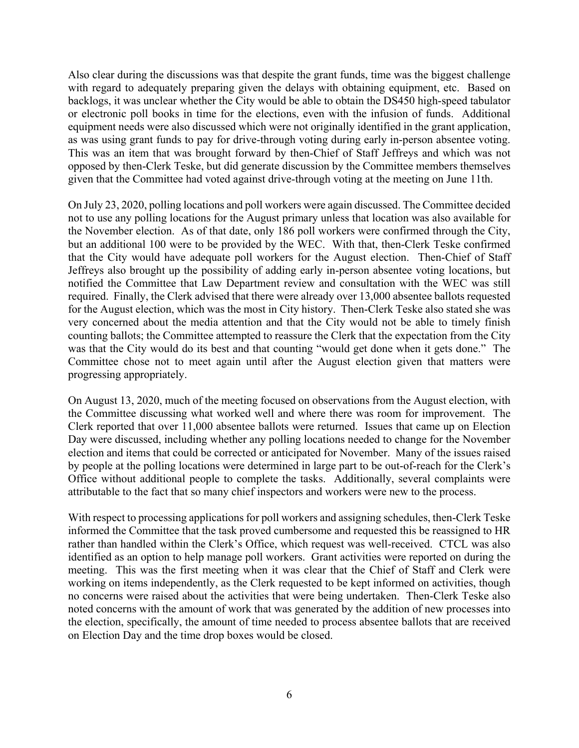Also clear during the discussions was that despite the grant funds, time was the biggest challenge with regard to adequately preparing given the delays with obtaining equipment, etc. Based on backlogs, it was unclear whether the City would be able to obtain the DS450 high-speed tabulator or electronic poll books in time for the elections, even with the infusion of funds. Additional equipment needs were also discussed which were not originally identified in the grant application, as was using grant funds to pay for drive-through voting during early in-person absentee voting. This was an item that was brought forward by then-Chief of Staff Jeffreys and which was not opposed by then-Clerk Teske, but did generate discussion by the Committee members themselves given that the Committee had voted against drive-through voting at the meeting on June 11th.

On July 23, 2020, polling locations and poll workers were again discussed. The Committee decided not to use any polling locations for the August primary unless that location was also available for the November election. As of that date, only 186 poll workers were confirmed through the City, but an additional 100 were to be provided by the WEC. With that, then-Clerk Teske confirmed that the City would have adequate poll workers for the August election. Then-Chief of Staff Jeffreys also brought up the possibility of adding early in-person absentee voting locations, but notified the Committee that Law Department review and consultation with the WEC was still required. Finally, the Clerk advised that there were already over 13,000 absentee ballots requested for the August election, which was the most in City history. Then-Clerk Teske also stated she was very concerned about the media attention and that the City would not be able to timely finish counting ballots; the Committee attempted to reassure the Clerk that the expectation from the City was that the City would do its best and that counting "would get done when it gets done." The Committee chose not to meet again until after the August election given that matters were progressing appropriately.

On August 13, 2020, much of the meeting focused on observations from the August election, with the Committee discussing what worked well and where there was room for improvement. The Clerk reported that over 11,000 absentee ballots were returned. Issues that came up on Election Day were discussed, including whether any polling locations needed to change for the November election and items that could be corrected or anticipated for November. Many of the issues raised by people at the polling locations were determined in large part to be out-of-reach for the Clerk's Office without additional people to complete the tasks. Additionally, several complaints were attributable to the fact that so many chief inspectors and workers were new to the process.

With respect to processing applications for poll workers and assigning schedules, then-Clerk Teske informed the Committee that the task proved cumbersome and requested this be reassigned to HR rather than handled within the Clerk's Office, which request was well-received. CTCL was also identified as an option to help manage poll workers. Grant activities were reported on during the meeting. This was the first meeting when it was clear that the Chief of Staff and Clerk were working on items independently, as the Clerk requested to be kept informed on activities, though no concerns were raised about the activities that were being undertaken. Then-Clerk Teske also noted concerns with the amount of work that was generated by the addition of new processes into the election, specifically, the amount of time needed to process absentee ballots that are received on Election Day and the time drop boxes would be closed.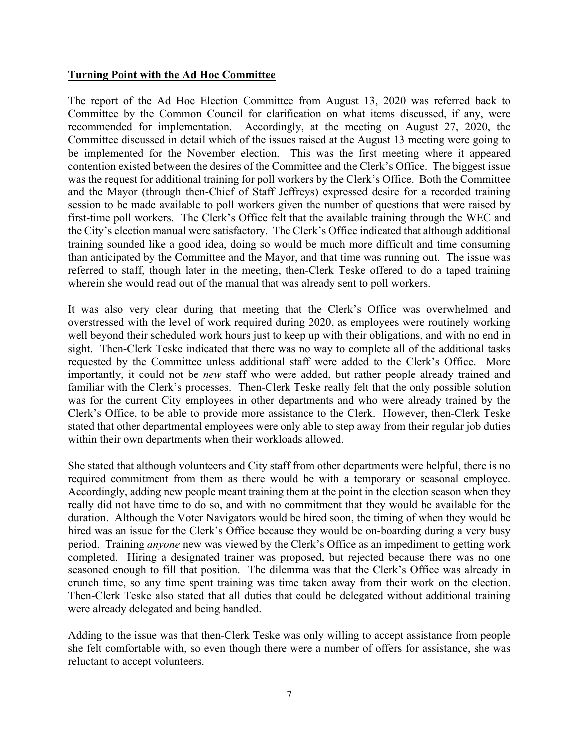### **Turning Point with the Ad Hoc Committee**

The report of the Ad Hoc Election Committee from August 13, 2020 was referred back to Committee by the Common Council for clarification on what items discussed, if any, were recommended for implementation. Accordingly, at the meeting on August 27, 2020, the Committee discussed in detail which of the issues raised at the August 13 meeting were going to be implemented for the November election. This was the first meeting where it appeared contention existed between the desires of the Committee and the Clerk's Office. The biggest issue was the request for additional training for poll workers by the Clerk's Office. Both the Committee and the Mayor (through then-Chief of Staff Jeffreys) expressed desire for a recorded training session to be made available to poll workers given the number of questions that were raised by first-time poll workers. The Clerk's Office felt that the available training through the WEC and the City's election manual were satisfactory. The Clerk's Office indicated that although additional training sounded like a good idea, doing so would be much more difficult and time consuming than anticipated by the Committee and the Mayor, and that time was running out. The issue was referred to staff, though later in the meeting, then-Clerk Teske offered to do a taped training wherein she would read out of the manual that was already sent to poll workers.

It was also very clear during that meeting that the Clerk's Office was overwhelmed and overstressed with the level of work required during 2020, as employees were routinely working well beyond their scheduled work hours just to keep up with their obligations, and with no end in sight. Then-Clerk Teske indicated that there was no way to complete all of the additional tasks requested by the Committee unless additional staff were added to the Clerk's Office. More importantly, it could not be *new* staff who were added, but rather people already trained and familiar with the Clerk's processes. Then-Clerk Teske really felt that the only possible solution was for the current City employees in other departments and who were already trained by the Clerk's Office, to be able to provide more assistance to the Clerk. However, then-Clerk Teske stated that other departmental employees were only able to step away from their regular job duties within their own departments when their workloads allowed.

She stated that although volunteers and City staff from other departments were helpful, there is no required commitment from them as there would be with a temporary or seasonal employee. Accordingly, adding new people meant training them at the point in the election season when they really did not have time to do so, and with no commitment that they would be available for the duration. Although the Voter Navigators would be hired soon, the timing of when they would be hired was an issue for the Clerk's Office because they would be on-boarding during a very busy period. Training *anyone* new was viewed by the Clerk's Office as an impediment to getting work completed. Hiring a designated trainer was proposed, but rejected because there was no one seasoned enough to fill that position. The dilemma was that the Clerk's Office was already in crunch time, so any time spent training was time taken away from their work on the election. Then-Clerk Teske also stated that all duties that could be delegated without additional training were already delegated and being handled.

Adding to the issue was that then-Clerk Teske was only willing to accept assistance from people she felt comfortable with, so even though there were a number of offers for assistance, she was reluctant to accept volunteers.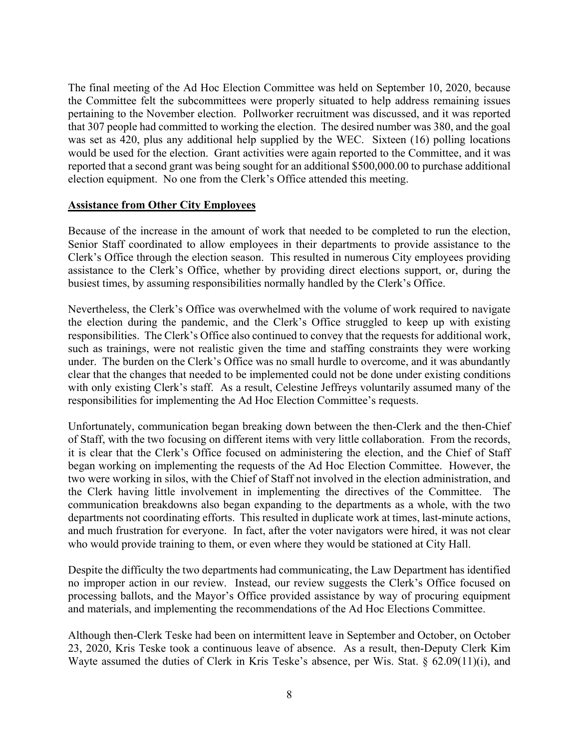The final meeting of the Ad Hoc Election Committee was held on September 10, 2020, because the Committee felt the subcommittees were properly situated to help address remaining issues pertaining to the November election. Pollworker recruitment was discussed, and it was reported that 307 people had committed to working the election. The desired number was 380, and the goal was set as 420, plus any additional help supplied by the WEC. Sixteen (16) polling locations would be used for the election. Grant activities were again reported to the Committee, and it was reported that a second grant was being sought for an additional \$500,000.00 to purchase additional election equipment. No one from the Clerk's Office attended this meeting.

### **Assistance from Other City Employees**

Because of the increase in the amount of work that needed to be completed to run the election, Senior Staff coordinated to allow employees in their departments to provide assistance to the Clerk's Office through the election season. This resulted in numerous City employees providing assistance to the Clerk's Office, whether by providing direct elections support, or, during the busiest times, by assuming responsibilities normally handled by the Clerk's Office.

Nevertheless, the Clerk's Office was overwhelmed with the volume of work required to navigate the election during the pandemic, and the Clerk's Office struggled to keep up with existing responsibilities. The Clerk's Office also continued to convey that the requests for additional work, such as trainings, were not realistic given the time and staffing constraints they were working under. The burden on the Clerk's Office was no small hurdle to overcome, and it was abundantly clear that the changes that needed to be implemented could not be done under existing conditions with only existing Clerk's staff. As a result, Celestine Jeffreys voluntarily assumed many of the responsibilities for implementing the Ad Hoc Election Committee's requests.

Unfortunately, communication began breaking down between the then-Clerk and the then-Chief of Staff, with the two focusing on different items with very little collaboration. From the records, it is clear that the Clerk's Office focused on administering the election, and the Chief of Staff began working on implementing the requests of the Ad Hoc Election Committee. However, the two were working in silos, with the Chief of Staff not involved in the election administration, and the Clerk having little involvement in implementing the directives of the Committee. The communication breakdowns also began expanding to the departments as a whole, with the two departments not coordinating efforts. This resulted in duplicate work at times, last-minute actions, and much frustration for everyone. In fact, after the voter navigators were hired, it was not clear who would provide training to them, or even where they would be stationed at City Hall.

Despite the difficulty the two departments had communicating, the Law Department has identified no improper action in our review. Instead, our review suggests the Clerk's Office focused on processing ballots, and the Mayor's Office provided assistance by way of procuring equipment and materials, and implementing the recommendations of the Ad Hoc Elections Committee.

Although then-Clerk Teske had been on intermittent leave in September and October, on October 23, 2020, Kris Teske took a continuous leave of absence. As a result, then-Deputy Clerk Kim Wayte assumed the duties of Clerk in Kris Teske's absence, per Wis. Stat. § 62.09(11)(i), and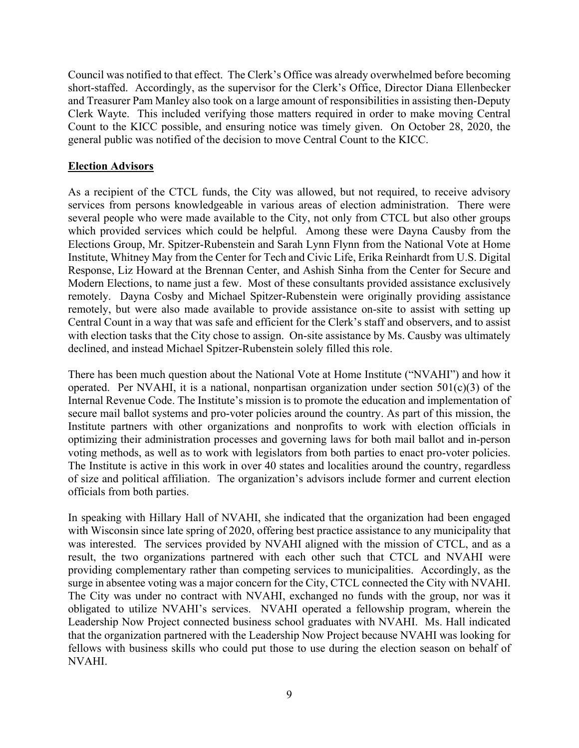Council was notified to that effect. The Clerk's Office was already overwhelmed before becoming short-staffed. Accordingly, as the supervisor for the Clerk's Office, Director Diana Ellenbecker and Treasurer Pam Manley also took on a large amount of responsibilities in assisting then-Deputy Clerk Wayte. This included verifying those matters required in order to make moving Central Count to the KICC possible, and ensuring notice was timely given. On October 28, 2020, the general public was notified of the decision to move Central Count to the KICC.

### **Election Advisors**

As a recipient of the CTCL funds, the City was allowed, but not required, to receive advisory services from persons knowledgeable in various areas of election administration. There were several people who were made available to the City, not only from CTCL but also other groups which provided services which could be helpful. Among these were Dayna Causby from the Elections Group, Mr. Spitzer-Rubenstein and Sarah Lynn Flynn from the National Vote at Home Institute, Whitney May from the Center for Tech and Civic Life, Erika Reinhardt from U.S. Digital Response, Liz Howard at the Brennan Center, and Ashish Sinha from the Center for Secure and Modern Elections, to name just a few. Most of these consultants provided assistance exclusively remotely. Dayna Cosby and Michael Spitzer-Rubenstein were originally providing assistance remotely, but were also made available to provide assistance on-site to assist with setting up Central Count in a way that was safe and efficient for the Clerk's staff and observers, and to assist with election tasks that the City chose to assign. On-site assistance by Ms. Causby was ultimately declined, and instead Michael Spitzer-Rubenstein solely filled this role.

There has been much question about the National Vote at Home Institute ("NVAHI") and how it operated. Per NVAHI, it is a national, nonpartisan organization under section  $501(c)(3)$  of the Internal Revenue Code. The Institute's mission is to promote the education and implementation of secure mail ballot systems and pro-voter policies around the country. As part of this mission, the Institute partners with other organizations and nonprofits to work with election officials in optimizing their administration processes and governing laws for both mail ballot and in-person voting methods, as well as to work with legislators from both parties to enact pro-voter policies. The Institute is active in this work in over 40 states and localities around the country, regardless of size and political affiliation. The organization's advisors include former and current election officials from both parties.

In speaking with Hillary Hall of NVAHI, she indicated that the organization had been engaged with Wisconsin since late spring of 2020, offering best practice assistance to any municipality that was interested. The services provided by NVAHI aligned with the mission of CTCL, and as a result, the two organizations partnered with each other such that CTCL and NVAHI were providing complementary rather than competing services to municipalities. Accordingly, as the surge in absentee voting was a major concern for the City, CTCL connected the City with NVAHI. The City was under no contract with NVAHI, exchanged no funds with the group, nor was it obligated to utilize NVAHI's services. NVAHI operated a fellowship program, wherein the Leadership Now Project connected business school graduates with NVAHI. Ms. Hall indicated that the organization partnered with the Leadership Now Project because NVAHI was looking for fellows with business skills who could put those to use during the election season on behalf of NVAHI.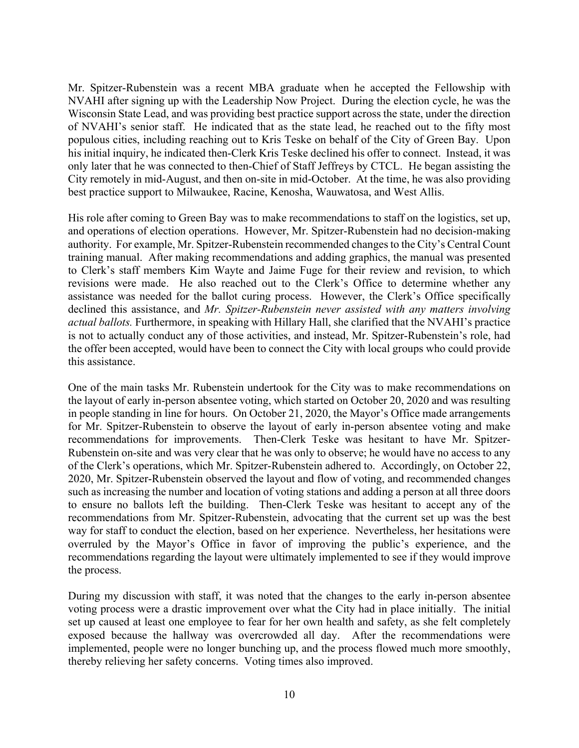Mr. Spitzer-Rubenstein was a recent MBA graduate when he accepted the Fellowship with NVAHI after signing up with the Leadership Now Project. During the election cycle, he was the Wisconsin State Lead, and was providing best practice support across the state, under the direction of NVAHI's senior staff. He indicated that as the state lead, he reached out to the fifty most populous cities, including reaching out to Kris Teske on behalf of the City of Green Bay. Upon his initial inquiry, he indicated then-Clerk Kris Teske declined his offer to connect. Instead, it was only later that he was connected to then-Chief of Staff Jeffreys by CTCL. He began assisting the City remotely in mid-August, and then on-site in mid-October. At the time, he was also providing best practice support to Milwaukee, Racine, Kenosha, Wauwatosa, and West Allis.

His role after coming to Green Bay was to make recommendations to staff on the logistics, set up, and operations of election operations. However, Mr. Spitzer-Rubenstein had no decision-making authority. For example, Mr. Spitzer-Rubenstein recommended changes to the City's Central Count training manual. After making recommendations and adding graphics, the manual was presented to Clerk's staff members Kim Wayte and Jaime Fuge for their review and revision, to which revisions were made. He also reached out to the Clerk's Office to determine whether any assistance was needed for the ballot curing process. However, the Clerk's Office specifically declined this assistance, and *Mr. Spitzer-Rubenstein never assisted with any matters involving actual ballots.* Furthermore, in speaking with Hillary Hall, she clarified that the NVAHI's practice is not to actually conduct any of those activities, and instead, Mr. Spitzer-Rubenstein's role, had the offer been accepted, would have been to connect the City with local groups who could provide this assistance.

One of the main tasks Mr. Rubenstein undertook for the City was to make recommendations on the layout of early in-person absentee voting, which started on October 20, 2020 and was resulting in people standing in line for hours. On October 21, 2020, the Mayor's Office made arrangements for Mr. Spitzer-Rubenstein to observe the layout of early in-person absentee voting and make recommendations for improvements. Then-Clerk Teske was hesitant to have Mr. Spitzer-Rubenstein on-site and was very clear that he was only to observe; he would have no access to any of the Clerk's operations, which Mr. Spitzer-Rubenstein adhered to. Accordingly, on October 22, 2020, Mr. Spitzer-Rubenstein observed the layout and flow of voting, and recommended changes such as increasing the number and location of voting stations and adding a person at all three doors to ensure no ballots left the building. Then-Clerk Teske was hesitant to accept any of the recommendations from Mr. Spitzer-Rubenstein, advocating that the current set up was the best way for staff to conduct the election, based on her experience. Nevertheless, her hesitations were overruled by the Mayor's Office in favor of improving the public's experience, and the recommendations regarding the layout were ultimately implemented to see if they would improve the process.

During my discussion with staff, it was noted that the changes to the early in-person absentee voting process were a drastic improvement over what the City had in place initially. The initial set up caused at least one employee to fear for her own health and safety, as she felt completely exposed because the hallway was overcrowded all day. After the recommendations were implemented, people were no longer bunching up, and the process flowed much more smoothly, thereby relieving her safety concerns. Voting times also improved.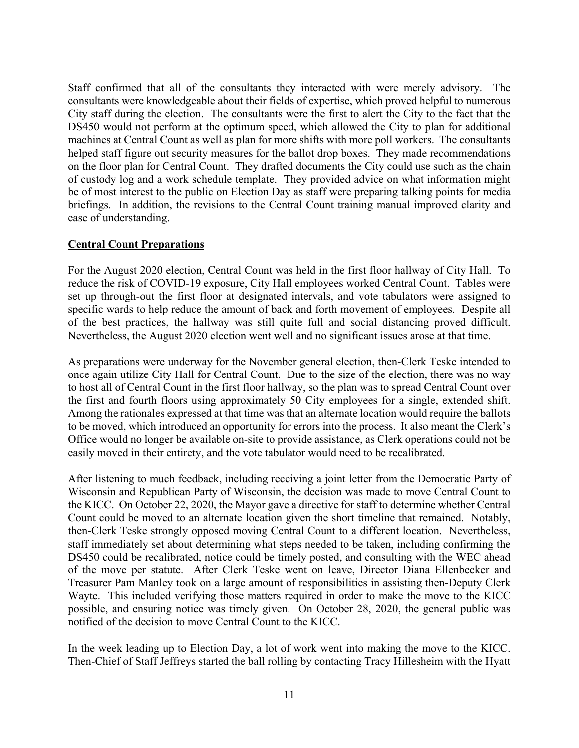Staff confirmed that all of the consultants they interacted with were merely advisory. The consultants were knowledgeable about their fields of expertise, which proved helpful to numerous City staff during the election. The consultants were the first to alert the City to the fact that the DS450 would not perform at the optimum speed, which allowed the City to plan for additional machines at Central Count as well as plan for more shifts with more poll workers. The consultants helped staff figure out security measures for the ballot drop boxes. They made recommendations on the floor plan for Central Count. They drafted documents the City could use such as the chain of custody log and a work schedule template. They provided advice on what information might be of most interest to the public on Election Day as staff were preparing talking points for media briefings. In addition, the revisions to the Central Count training manual improved clarity and ease of understanding.

### **Central Count Preparations**

For the August 2020 election, Central Count was held in the first floor hallway of City Hall. To reduce the risk of COVID-19 exposure, City Hall employees worked Central Count. Tables were set up through-out the first floor at designated intervals, and vote tabulators were assigned to specific wards to help reduce the amount of back and forth movement of employees. Despite all of the best practices, the hallway was still quite full and social distancing proved difficult. Nevertheless, the August 2020 election went well and no significant issues arose at that time.

As preparations were underway for the November general election, then-Clerk Teske intended to once again utilize City Hall for Central Count. Due to the size of the election, there was no way to host all of Central Count in the first floor hallway, so the plan was to spread Central Count over the first and fourth floors using approximately 50 City employees for a single, extended shift. Among the rationales expressed at that time was that an alternate location would require the ballots to be moved, which introduced an opportunity for errors into the process. It also meant the Clerk's Office would no longer be available on-site to provide assistance, as Clerk operations could not be easily moved in their entirety, and the vote tabulator would need to be recalibrated.

After listening to much feedback, including receiving a joint letter from the Democratic Party of Wisconsin and Republican Party of Wisconsin, the decision was made to move Central Count to the KICC. On October 22, 2020, the Mayor gave a directive for staff to determine whether Central Count could be moved to an alternate location given the short timeline that remained. Notably, then-Clerk Teske strongly opposed moving Central Count to a different location. Nevertheless, staff immediately set about determining what steps needed to be taken, including confirming the DS450 could be recalibrated, notice could be timely posted, and consulting with the WEC ahead of the move per statute. After Clerk Teske went on leave, Director Diana Ellenbecker and Treasurer Pam Manley took on a large amount of responsibilities in assisting then-Deputy Clerk Wayte. This included verifying those matters required in order to make the move to the KICC possible, and ensuring notice was timely given. On October 28, 2020, the general public was notified of the decision to move Central Count to the KICC.

In the week leading up to Election Day, a lot of work went into making the move to the KICC. Then-Chief of Staff Jeffreys started the ball rolling by contacting Tracy Hillesheim with the Hyatt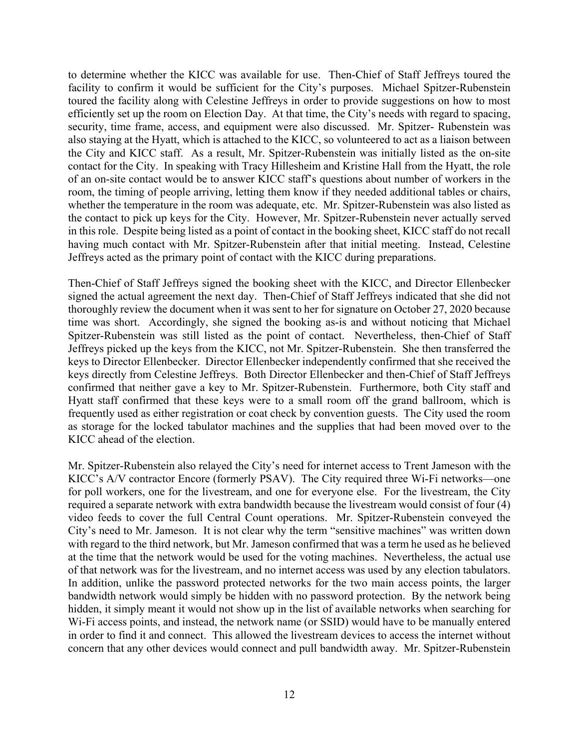to determine whether the KICC was available for use. Then-Chief of Staff Jeffreys toured the facility to confirm it would be sufficient for the City's purposes. Michael Spitzer-Rubenstein toured the facility along with Celestine Jeffreys in order to provide suggestions on how to most efficiently set up the room on Election Day. At that time, the City's needs with regard to spacing, security, time frame, access, and equipment were also discussed. Mr. Spitzer- Rubenstein was also staying at the Hyatt, which is attached to the KICC, so volunteered to act as a liaison between the City and KICC staff. As a result, Mr. Spitzer-Rubenstein was initially listed as the on-site contact for the City. In speaking with Tracy Hillesheim and Kristine Hall from the Hyatt, the role of an on-site contact would be to answer KICC staff's questions about number of workers in the room, the timing of people arriving, letting them know if they needed additional tables or chairs, whether the temperature in the room was adequate, etc. Mr. Spitzer-Rubenstein was also listed as the contact to pick up keys for the City. However, Mr. Spitzer-Rubenstein never actually served in this role. Despite being listed as a point of contact in the booking sheet, KICC staff do not recall having much contact with Mr. Spitzer-Rubenstein after that initial meeting. Instead, Celestine Jeffreys acted as the primary point of contact with the KICC during preparations.

Then-Chief of Staff Jeffreys signed the booking sheet with the KICC, and Director Ellenbecker signed the actual agreement the next day. Then-Chief of Staff Jeffreys indicated that she did not thoroughly review the document when it was sent to her for signature on October 27, 2020 because time was short. Accordingly, she signed the booking as-is and without noticing that Michael Spitzer-Rubenstein was still listed as the point of contact. Nevertheless, then-Chief of Staff Jeffreys picked up the keys from the KICC, not Mr. Spitzer-Rubenstein. She then transferred the keys to Director Ellenbecker. Director Ellenbecker independently confirmed that she received the keys directly from Celestine Jeffreys. Both Director Ellenbecker and then-Chief of Staff Jeffreys confirmed that neither gave a key to Mr. Spitzer-Rubenstein. Furthermore, both City staff and Hyatt staff confirmed that these keys were to a small room off the grand ballroom, which is frequently used as either registration or coat check by convention guests. The City used the room as storage for the locked tabulator machines and the supplies that had been moved over to the KICC ahead of the election.

Mr. Spitzer-Rubenstein also relayed the City's need for internet access to Trent Jameson with the KICC's A/V contractor Encore (formerly PSAV). The City required three Wi-Fi networks—one for poll workers, one for the livestream, and one for everyone else. For the livestream, the City required a separate network with extra bandwidth because the livestream would consist of four (4) video feeds to cover the full Central Count operations. Mr. Spitzer-Rubenstein conveyed the City's need to Mr. Jameson. It is not clear why the term "sensitive machines" was written down with regard to the third network, but Mr. Jameson confirmed that was a term he used as he believed at the time that the network would be used for the voting machines. Nevertheless, the actual use of that network was for the livestream, and no internet access was used by any election tabulators. In addition, unlike the password protected networks for the two main access points, the larger bandwidth network would simply be hidden with no password protection. By the network being hidden, it simply meant it would not show up in the list of available networks when searching for Wi-Fi access points, and instead, the network name (or SSID) would have to be manually entered in order to find it and connect. This allowed the livestream devices to access the internet without concern that any other devices would connect and pull bandwidth away. Mr. Spitzer-Rubenstein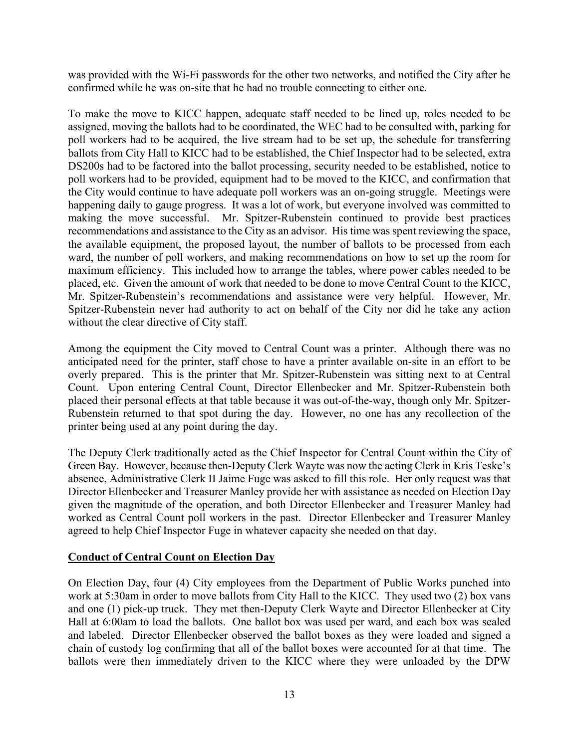was provided with the Wi-Fi passwords for the other two networks, and notified the City after he confirmed while he was on-site that he had no trouble connecting to either one.

To make the move to KICC happen, adequate staff needed to be lined up, roles needed to be assigned, moving the ballots had to be coordinated, the WEC had to be consulted with, parking for poll workers had to be acquired, the live stream had to be set up, the schedule for transferring ballots from City Hall to KICC had to be established, the Chief Inspector had to be selected, extra DS200s had to be factored into the ballot processing, security needed to be established, notice to poll workers had to be provided, equipment had to be moved to the KICC, and confirmation that the City would continue to have adequate poll workers was an on-going struggle. Meetings were happening daily to gauge progress. It was a lot of work, but everyone involved was committed to making the move successful. Mr. Spitzer-Rubenstein continued to provide best practices recommendations and assistance to the City as an advisor. His time was spent reviewing the space, the available equipment, the proposed layout, the number of ballots to be processed from each ward, the number of poll workers, and making recommendations on how to set up the room for maximum efficiency. This included how to arrange the tables, where power cables needed to be placed, etc. Given the amount of work that needed to be done to move Central Count to the KICC, Mr. Spitzer-Rubenstein's recommendations and assistance were very helpful. However, Mr. Spitzer-Rubenstein never had authority to act on behalf of the City nor did he take any action without the clear directive of City staff.

Among the equipment the City moved to Central Count was a printer. Although there was no anticipated need for the printer, staff chose to have a printer available on-site in an effort to be overly prepared. This is the printer that Mr. Spitzer-Rubenstein was sitting next to at Central Count. Upon entering Central Count, Director Ellenbecker and Mr. Spitzer-Rubenstein both placed their personal effects at that table because it was out-of-the-way, though only Mr. Spitzer-Rubenstein returned to that spot during the day. However, no one has any recollection of the printer being used at any point during the day.

The Deputy Clerk traditionally acted as the Chief Inspector for Central Count within the City of Green Bay. However, because then-Deputy Clerk Wayte was now the acting Clerk in Kris Teske's absence, Administrative Clerk II Jaime Fuge was asked to fill this role. Her only request was that Director Ellenbecker and Treasurer Manley provide her with assistance as needed on Election Day given the magnitude of the operation, and both Director Ellenbecker and Treasurer Manley had worked as Central Count poll workers in the past. Director Ellenbecker and Treasurer Manley agreed to help Chief Inspector Fuge in whatever capacity she needed on that day.

# **Conduct of Central Count on Election Day**

On Election Day, four (4) City employees from the Department of Public Works punched into work at 5:30am in order to move ballots from City Hall to the KICC. They used two (2) box vans and one (1) pick-up truck. They met then-Deputy Clerk Wayte and Director Ellenbecker at City Hall at 6:00am to load the ballots. One ballot box was used per ward, and each box was sealed and labeled. Director Ellenbecker observed the ballot boxes as they were loaded and signed a chain of custody log confirming that all of the ballot boxes were accounted for at that time. The ballots were then immediately driven to the KICC where they were unloaded by the DPW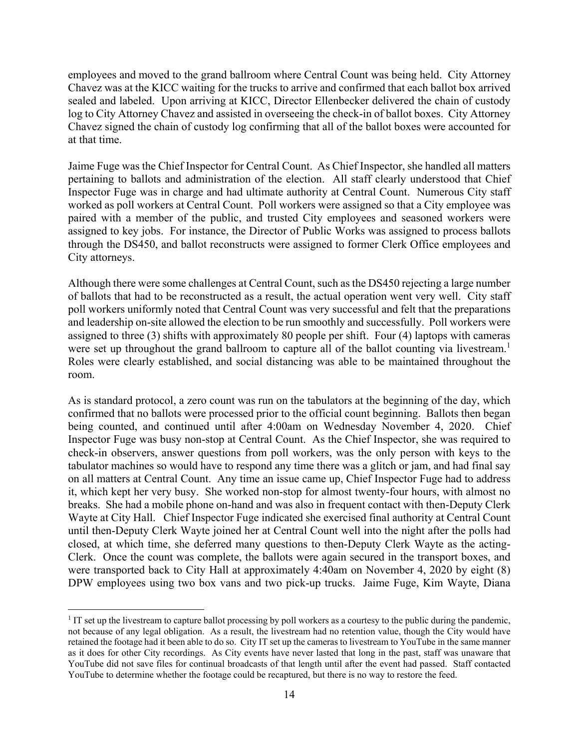employees and moved to the grand ballroom where Central Count was being held. City Attorney Chavez was at the KICC waiting for the trucks to arrive and confirmed that each ballot box arrived sealed and labeled. Upon arriving at KICC, Director Ellenbecker delivered the chain of custody log to City Attorney Chavez and assisted in overseeing the check-in of ballot boxes. City Attorney Chavez signed the chain of custody log confirming that all of the ballot boxes were accounted for at that time.

Jaime Fuge was the Chief Inspector for Central Count. As Chief Inspector, she handled all matters pertaining to ballots and administration of the election. All staff clearly understood that Chief Inspector Fuge was in charge and had ultimate authority at Central Count. Numerous City staff worked as poll workers at Central Count. Poll workers were assigned so that a City employee was paired with a member of the public, and trusted City employees and seasoned workers were assigned to key jobs. For instance, the Director of Public Works was assigned to process ballots through the DS450, and ballot reconstructs were assigned to former Clerk Office employees and City attorneys.

Although there were some challenges at Central Count, such as the DS450 rejecting a large number of ballots that had to be reconstructed as a result, the actual operation went very well. City staff poll workers uniformly noted that Central Count was very successful and felt that the preparations and leadership on-site allowed the election to be run smoothly and successfully. Poll workers were assigned to three (3) shifts with approximately 80 people per shift. Four (4) laptops with cameras were set up throughout the grand ballroom to capture all of the ballot counting via livestream.<sup>1</sup> Roles were clearly established, and social distancing was able to be maintained throughout the room.

As is standard protocol, a zero count was run on the tabulators at the beginning of the day, which confirmed that no ballots were processed prior to the official count beginning. Ballots then began being counted, and continued until after 4:00am on Wednesday November 4, 2020. Chief Inspector Fuge was busy non-stop at Central Count. As the Chief Inspector, she was required to check-in observers, answer questions from poll workers, was the only person with keys to the tabulator machines so would have to respond any time there was a glitch or jam, and had final say on all matters at Central Count. Any time an issue came up, Chief Inspector Fuge had to address it, which kept her very busy. She worked non-stop for almost twenty-four hours, with almost no breaks. She had a mobile phone on-hand and was also in frequent contact with then-Deputy Clerk Wayte at City Hall. Chief Inspector Fuge indicated she exercised final authority at Central Count until then-Deputy Clerk Wayte joined her at Central Count well into the night after the polls had closed, at which time, she deferred many questions to then-Deputy Clerk Wayte as the acting-Clerk. Once the count was complete, the ballots were again secured in the transport boxes, and were transported back to City Hall at approximately 4:40am on November 4, 2020 by eight (8) DPW employees using two box vans and two pick-up trucks. Jaime Fuge, Kim Wayte, Diana

<sup>1</sup> <sup>1</sup> IT set up the livestream to capture ballot processing by poll workers as a courtesy to the public during the pandemic, not because of any legal obligation. As a result, the livestream had no retention value, though the City would have retained the footage had it been able to do so. City IT set up the cameras to livestream to YouTube in the same manner as it does for other City recordings. As City events have never lasted that long in the past, staff was unaware that YouTube did not save files for continual broadcasts of that length until after the event had passed. Staff contacted YouTube to determine whether the footage could be recaptured, but there is no way to restore the feed.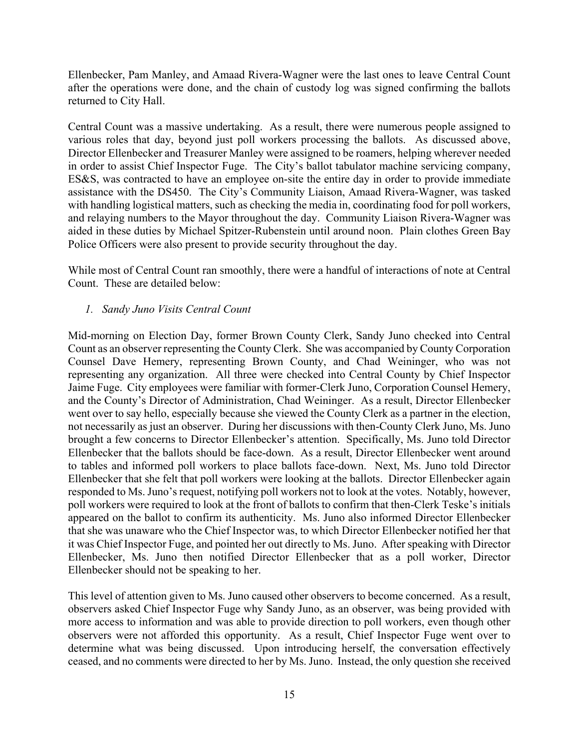Ellenbecker, Pam Manley, and Amaad Rivera-Wagner were the last ones to leave Central Count after the operations were done, and the chain of custody log was signed confirming the ballots returned to City Hall.

Central Count was a massive undertaking. As a result, there were numerous people assigned to various roles that day, beyond just poll workers processing the ballots. As discussed above, Director Ellenbecker and Treasurer Manley were assigned to be roamers, helping wherever needed in order to assist Chief Inspector Fuge. The City's ballot tabulator machine servicing company, ES&S, was contracted to have an employee on-site the entire day in order to provide immediate assistance with the DS450. The City's Community Liaison, Amaad Rivera-Wagner, was tasked with handling logistical matters, such as checking the media in, coordinating food for poll workers, and relaying numbers to the Mayor throughout the day. Community Liaison Rivera-Wagner was aided in these duties by Michael Spitzer-Rubenstein until around noon. Plain clothes Green Bay Police Officers were also present to provide security throughout the day.

While most of Central Count ran smoothly, there were a handful of interactions of note at Central Count. These are detailed below:

# *1. Sandy Juno Visits Central Count*

Mid-morning on Election Day, former Brown County Clerk, Sandy Juno checked into Central Count as an observer representing the County Clerk. She was accompanied by County Corporation Counsel Dave Hemery, representing Brown County, and Chad Weininger, who was not representing any organization. All three were checked into Central County by Chief Inspector Jaime Fuge. City employees were familiar with former-Clerk Juno, Corporation Counsel Hemery, and the County's Director of Administration, Chad Weininger. As a result, Director Ellenbecker went over to say hello, especially because she viewed the County Clerk as a partner in the election, not necessarily as just an observer. During her discussions with then-County Clerk Juno, Ms. Juno brought a few concerns to Director Ellenbecker's attention. Specifically, Ms. Juno told Director Ellenbecker that the ballots should be face-down. As a result, Director Ellenbecker went around to tables and informed poll workers to place ballots face-down. Next, Ms. Juno told Director Ellenbecker that she felt that poll workers were looking at the ballots. Director Ellenbecker again responded to Ms. Juno's request, notifying poll workers not to look at the votes. Notably, however, poll workers were required to look at the front of ballots to confirm that then-Clerk Teske's initials appeared on the ballot to confirm its authenticity. Ms. Juno also informed Director Ellenbecker that she was unaware who the Chief Inspector was, to which Director Ellenbecker notified her that it was Chief Inspector Fuge, and pointed her out directly to Ms. Juno. After speaking with Director Ellenbecker, Ms. Juno then notified Director Ellenbecker that as a poll worker, Director Ellenbecker should not be speaking to her.

This level of attention given to Ms. Juno caused other observers to become concerned. As a result, observers asked Chief Inspector Fuge why Sandy Juno, as an observer, was being provided with more access to information and was able to provide direction to poll workers, even though other observers were not afforded this opportunity. As a result, Chief Inspector Fuge went over to determine what was being discussed. Upon introducing herself, the conversation effectively ceased, and no comments were directed to her by Ms. Juno. Instead, the only question she received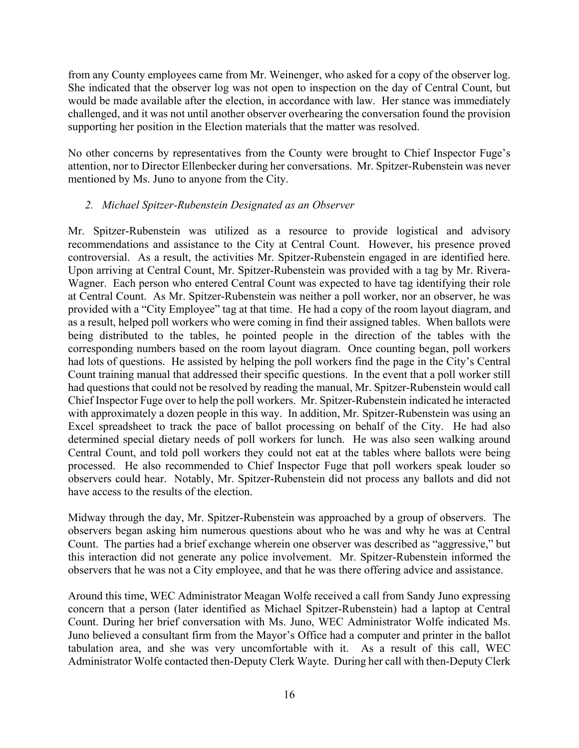from any County employees came from Mr. Weinenger, who asked for a copy of the observer log. She indicated that the observer log was not open to inspection on the day of Central Count, but would be made available after the election, in accordance with law. Her stance was immediately challenged, and it was not until another observer overhearing the conversation found the provision supporting her position in the Election materials that the matter was resolved.

No other concerns by representatives from the County were brought to Chief Inspector Fuge's attention, nor to Director Ellenbecker during her conversations. Mr. Spitzer-Rubenstein was never mentioned by Ms. Juno to anyone from the City.

# *2. Michael Spitzer-Rubenstein Designated as an Observer*

Mr. Spitzer-Rubenstein was utilized as a resource to provide logistical and advisory recommendations and assistance to the City at Central Count. However, his presence proved controversial. As a result, the activities Mr. Spitzer-Rubenstein engaged in are identified here. Upon arriving at Central Count, Mr. Spitzer-Rubenstein was provided with a tag by Mr. Rivera-Wagner. Each person who entered Central Count was expected to have tag identifying their role at Central Count. As Mr. Spitzer-Rubenstein was neither a poll worker, nor an observer, he was provided with a "City Employee" tag at that time. He had a copy of the room layout diagram, and as a result, helped poll workers who were coming in find their assigned tables. When ballots were being distributed to the tables, he pointed people in the direction of the tables with the corresponding numbers based on the room layout diagram. Once counting began, poll workers had lots of questions. He assisted by helping the poll workers find the page in the City's Central Count training manual that addressed their specific questions. In the event that a poll worker still had questions that could not be resolved by reading the manual, Mr. Spitzer-Rubenstein would call Chief Inspector Fuge over to help the poll workers. Mr. Spitzer-Rubenstein indicated he interacted with approximately a dozen people in this way. In addition, Mr. Spitzer-Rubenstein was using an Excel spreadsheet to track the pace of ballot processing on behalf of the City. He had also determined special dietary needs of poll workers for lunch. He was also seen walking around Central Count, and told poll workers they could not eat at the tables where ballots were being processed. He also recommended to Chief Inspector Fuge that poll workers speak louder so observers could hear. Notably, Mr. Spitzer-Rubenstein did not process any ballots and did not have access to the results of the election.

Midway through the day, Mr. Spitzer-Rubenstein was approached by a group of observers. The observers began asking him numerous questions about who he was and why he was at Central Count. The parties had a brief exchange wherein one observer was described as "aggressive," but this interaction did not generate any police involvement. Mr. Spitzer-Rubenstein informed the observers that he was not a City employee, and that he was there offering advice and assistance.

Around this time, WEC Administrator Meagan Wolfe received a call from Sandy Juno expressing concern that a person (later identified as Michael Spitzer-Rubenstein) had a laptop at Central Count. During her brief conversation with Ms. Juno, WEC Administrator Wolfe indicated Ms. Juno believed a consultant firm from the Mayor's Office had a computer and printer in the ballot tabulation area, and she was very uncomfortable with it. As a result of this call, WEC Administrator Wolfe contacted then-Deputy Clerk Wayte. During her call with then-Deputy Clerk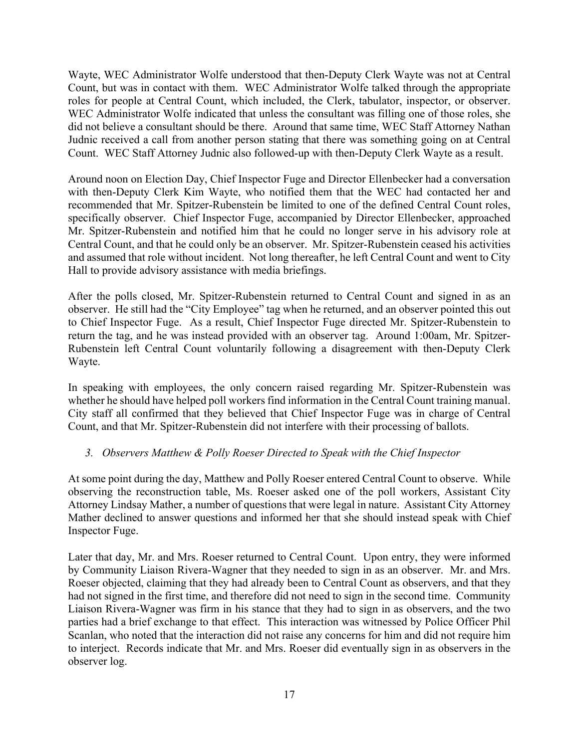Wayte, WEC Administrator Wolfe understood that then-Deputy Clerk Wayte was not at Central Count, but was in contact with them. WEC Administrator Wolfe talked through the appropriate roles for people at Central Count, which included, the Clerk, tabulator, inspector, or observer. WEC Administrator Wolfe indicated that unless the consultant was filling one of those roles, she did not believe a consultant should be there. Around that same time, WEC Staff Attorney Nathan Judnic received a call from another person stating that there was something going on at Central Count. WEC Staff Attorney Judnic also followed-up with then-Deputy Clerk Wayte as a result.

Around noon on Election Day, Chief Inspector Fuge and Director Ellenbecker had a conversation with then-Deputy Clerk Kim Wayte, who notified them that the WEC had contacted her and recommended that Mr. Spitzer-Rubenstein be limited to one of the defined Central Count roles, specifically observer. Chief Inspector Fuge, accompanied by Director Ellenbecker, approached Mr. Spitzer-Rubenstein and notified him that he could no longer serve in his advisory role at Central Count, and that he could only be an observer. Mr. Spitzer-Rubenstein ceased his activities and assumed that role without incident. Not long thereafter, he left Central Count and went to City Hall to provide advisory assistance with media briefings.

After the polls closed, Mr. Spitzer-Rubenstein returned to Central Count and signed in as an observer. He still had the "City Employee" tag when he returned, and an observer pointed this out to Chief Inspector Fuge. As a result, Chief Inspector Fuge directed Mr. Spitzer-Rubenstein to return the tag, and he was instead provided with an observer tag. Around 1:00am, Mr. Spitzer-Rubenstein left Central Count voluntarily following a disagreement with then-Deputy Clerk Wayte.

In speaking with employees, the only concern raised regarding Mr. Spitzer-Rubenstein was whether he should have helped poll workers find information in the Central Count training manual. City staff all confirmed that they believed that Chief Inspector Fuge was in charge of Central Count, and that Mr. Spitzer-Rubenstein did not interfere with their processing of ballots.

# *3. Observers Matthew & Polly Roeser Directed to Speak with the Chief Inspector*

At some point during the day, Matthew and Polly Roeser entered Central Count to observe. While observing the reconstruction table, Ms. Roeser asked one of the poll workers, Assistant City Attorney Lindsay Mather, a number of questions that were legal in nature. Assistant City Attorney Mather declined to answer questions and informed her that she should instead speak with Chief Inspector Fuge.

Later that day, Mr. and Mrs. Roeser returned to Central Count. Upon entry, they were informed by Community Liaison Rivera-Wagner that they needed to sign in as an observer. Mr. and Mrs. Roeser objected, claiming that they had already been to Central Count as observers, and that they had not signed in the first time, and therefore did not need to sign in the second time. Community Liaison Rivera-Wagner was firm in his stance that they had to sign in as observers, and the two parties had a brief exchange to that effect. This interaction was witnessed by Police Officer Phil Scanlan, who noted that the interaction did not raise any concerns for him and did not require him to interject. Records indicate that Mr. and Mrs. Roeser did eventually sign in as observers in the observer log.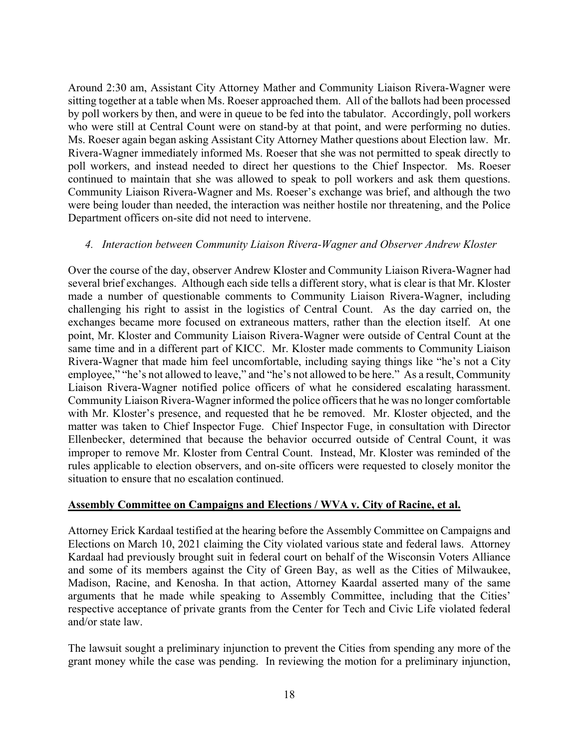Around 2:30 am, Assistant City Attorney Mather and Community Liaison Rivera-Wagner were sitting together at a table when Ms. Roeser approached them. All of the ballots had been processed by poll workers by then, and were in queue to be fed into the tabulator. Accordingly, poll workers who were still at Central Count were on stand-by at that point, and were performing no duties. Ms. Roeser again began asking Assistant City Attorney Mather questions about Election law. Mr. Rivera-Wagner immediately informed Ms. Roeser that she was not permitted to speak directly to poll workers, and instead needed to direct her questions to the Chief Inspector. Ms. Roeser continued to maintain that she was allowed to speak to poll workers and ask them questions. Community Liaison Rivera-Wagner and Ms. Roeser's exchange was brief, and although the two were being louder than needed, the interaction was neither hostile nor threatening, and the Police Department officers on-site did not need to intervene.

### *4. Interaction between Community Liaison Rivera-Wagner and Observer Andrew Kloster*

Over the course of the day, observer Andrew Kloster and Community Liaison Rivera-Wagner had several brief exchanges. Although each side tells a different story, what is clear is that Mr. Kloster made a number of questionable comments to Community Liaison Rivera-Wagner, including challenging his right to assist in the logistics of Central Count. As the day carried on, the exchanges became more focused on extraneous matters, rather than the election itself. At one point, Mr. Kloster and Community Liaison Rivera-Wagner were outside of Central Count at the same time and in a different part of KICC. Mr. Kloster made comments to Community Liaison Rivera-Wagner that made him feel uncomfortable, including saying things like "he's not a City employee," "he's not allowed to leave," and "he's not allowed to be here." As a result, Community Liaison Rivera-Wagner notified police officers of what he considered escalating harassment. Community Liaison Rivera-Wagner informed the police officers that he was no longer comfortable with Mr. Kloster's presence, and requested that he be removed. Mr. Kloster objected, and the matter was taken to Chief Inspector Fuge. Chief Inspector Fuge, in consultation with Director Ellenbecker, determined that because the behavior occurred outside of Central Count, it was improper to remove Mr. Kloster from Central Count. Instead, Mr. Kloster was reminded of the rules applicable to election observers, and on-site officers were requested to closely monitor the situation to ensure that no escalation continued.

### **Assembly Committee on Campaigns and Elections / WVA v. City of Racine, et al.**

Attorney Erick Kardaal testified at the hearing before the Assembly Committee on Campaigns and Elections on March 10, 2021 claiming the City violated various state and federal laws. Attorney Kardaal had previously brought suit in federal court on behalf of the Wisconsin Voters Alliance and some of its members against the City of Green Bay, as well as the Cities of Milwaukee, Madison, Racine, and Kenosha. In that action, Attorney Kaardal asserted many of the same arguments that he made while speaking to Assembly Committee, including that the Cities' respective acceptance of private grants from the Center for Tech and Civic Life violated federal and/or state law.

The lawsuit sought a preliminary injunction to prevent the Cities from spending any more of the grant money while the case was pending. In reviewing the motion for a preliminary injunction,